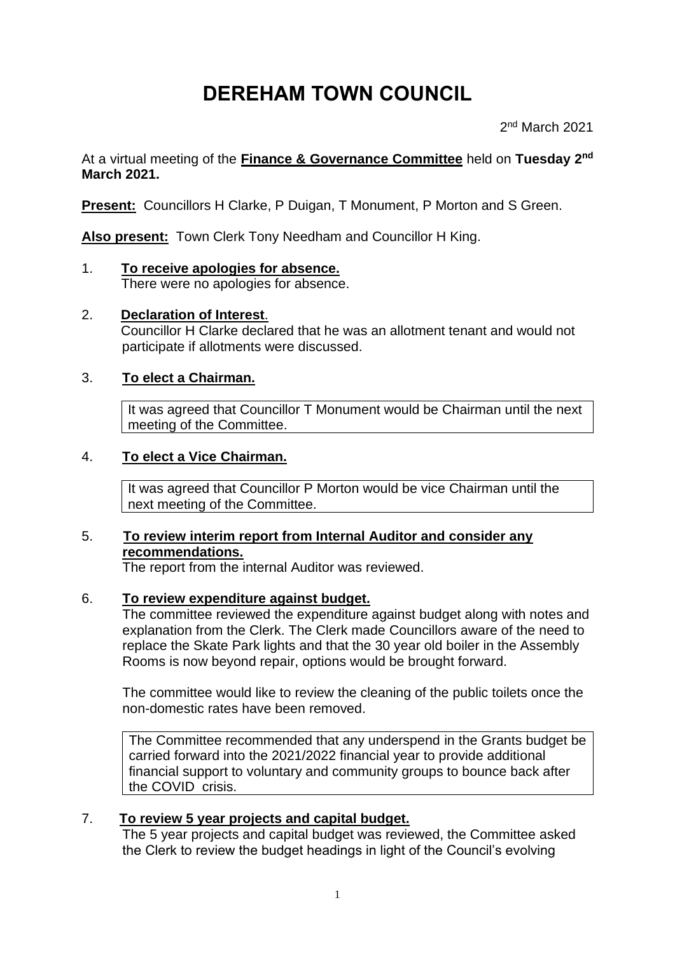# **DEREHAM TOWN COUNCIL**

2 nd March 2021

At a virtual meeting of the **Finance & Governance Committee** held on **Tuesday 2 nd March 2021.**

**Present:** Councillors H Clarke, P Duigan, T Monument, P Morton and S Green.

**Also present:** Town Clerk Tony Needham and Councillor H King.

- 1. **To receive apologies for absence.**
	- There were no apologies for absence.
- 2. **Declaration of Interest**. Councillor H Clarke declared that he was an allotment tenant and would not participate if allotments were discussed.

# 3. **To elect a Chairman.**

It was agreed that Councillor T Monument would be Chairman until the next meeting of the Committee.

#### 4. **To elect a Vice Chairman.**

It was agreed that Councillor P Morton would be vice Chairman until the next meeting of the Committee.

# 5. **To review interim report from Internal Auditor and consider any recommendations.**

The report from the internal Auditor was reviewed.

#### 6. **To review expenditure against budget.**

The committee reviewed the expenditure against budget along with notes and explanation from the Clerk. The Clerk made Councillors aware of the need to replace the Skate Park lights and that the 30 year old boiler in the Assembly Rooms is now beyond repair, options would be brought forward.

The committee would like to review the cleaning of the public toilets once the non-domestic rates have been removed.

The Committee recommended that any underspend in the Grants budget be carried forward into the 2021/2022 financial year to provide additional financial support to voluntary and community groups to bounce back after the COVID crisis.

# 7. **To review 5 year projects and capital budget.**

The 5 year projects and capital budget was reviewed, the Committee asked the Clerk to review the budget headings in light of the Council's evolving